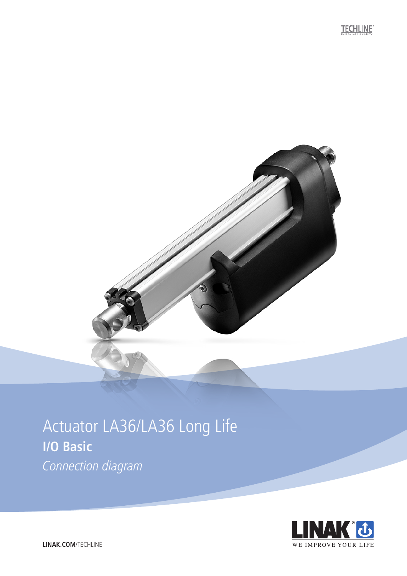

## Actuator LA36/LA36 Long Life **I/O Basic** Connection diagram

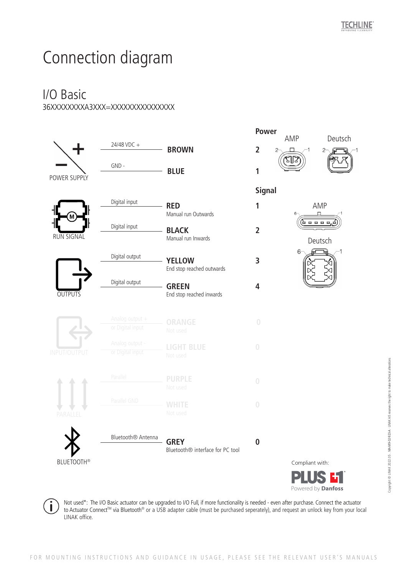# Connection diagram

### I/O Basic 36XXXXXXXXA3XXX=XXXXXXXXXXXXXXX



Not used\*: The I/O Basic actuator can be upgraded to I/O Full, if more functionality is needed - even after purchase. Connect the actuator to Actuator Connect™ via Bluetooth® or a USB adapter cable (must be purchased seperately), and request an unlock key from your local LINAK office.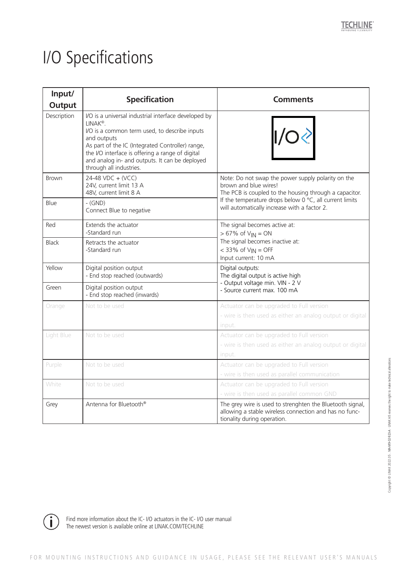# I/O Specifications

| Input/<br><b>Output</b> | <b>Specification</b>                                                                                                                                                                                                                                                                                                              | <b>Comments</b>                                                                                                                                                                                                                                           |
|-------------------------|-----------------------------------------------------------------------------------------------------------------------------------------------------------------------------------------------------------------------------------------------------------------------------------------------------------------------------------|-----------------------------------------------------------------------------------------------------------------------------------------------------------------------------------------------------------------------------------------------------------|
| Description             | I/O is a universal industrial interface developed by<br>LINAK <sup>®</sup> .<br>I/O is a common term used, to describe inputs<br>and outputs<br>As part of the IC (Integrated Controller) range,<br>the I/O interface is offering a range of digital<br>and analog in- and outputs. It can be deployed<br>through all industries. | 1/O                                                                                                                                                                                                                                                       |
| <b>Brown</b>            | 24-48 VDC + (VCC)<br>24V, current limit 13 A<br>48V, current limit 8 A                                                                                                                                                                                                                                                            | Note: Do not swap the power supply polarity on the<br>brown and blue wires!<br>The PCB is coupled to the housing through a capacitor.<br>If the temperature drops below $0^{\circ}$ C, all current limits<br>will automatically increase with a factor 2. |
| Blue                    | $-GND$<br>Connect Blue to negative                                                                                                                                                                                                                                                                                                |                                                                                                                                                                                                                                                           |
| Red                     | Extends the actuator<br>-Standard run                                                                                                                                                                                                                                                                                             | The signal becomes active at:<br>$> 67\%$ of $V_{IN} = ON$<br>The signal becomes inactive at:<br>$<$ 33% of $V_{IN}$ = OFF<br>Input current: 10 mA                                                                                                        |
| <b>Black</b>            | Retracts the actuator<br>-Standard run                                                                                                                                                                                                                                                                                            |                                                                                                                                                                                                                                                           |
| Yellow                  | Digital position output<br>- End stop reached (outwards)                                                                                                                                                                                                                                                                          | Digital outputs:<br>The digital output is active high<br>- Output voltage min. VIN - 2 V<br>- Source current max. 100 mA                                                                                                                                  |
| Green                   | Digital position output<br>- End stop reached (inwards)                                                                                                                                                                                                                                                                           |                                                                                                                                                                                                                                                           |
| Orange                  | Not to be used                                                                                                                                                                                                                                                                                                                    | Actuator can be upgraded to Full version<br>- wire is then used as either an analog output or digital<br>input.                                                                                                                                           |
| Light Blue              | Not to be used                                                                                                                                                                                                                                                                                                                    | Actuator can be upgraded to Full version<br>- wire is then used as either an analog output or digital<br>input.                                                                                                                                           |
| Purple                  | Not to be used                                                                                                                                                                                                                                                                                                                    | Actuator can be upgraded to Full version<br>- wire is then used as parallel communication                                                                                                                                                                 |
| White                   | Not to be used                                                                                                                                                                                                                                                                                                                    | Actuator can be upgraded to Full version<br>- wire is then used as parallel common GND                                                                                                                                                                    |
| Grey                    | Antenna for Bluetooth®                                                                                                                                                                                                                                                                                                            | The grey wire is used to strenghten the Bluetooth signal,<br>allowing a stable wireless connection and has no func-<br>tionality during operation.                                                                                                        |